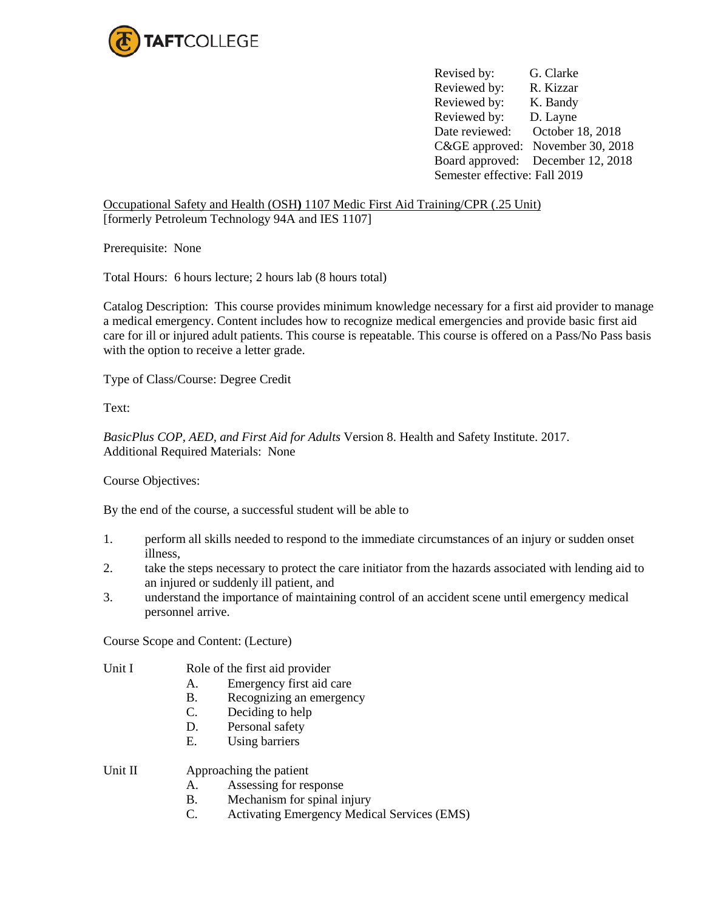

Revised by: G. Clarke Reviewed by: R. Kizzar Reviewed by: K. Bandy Reviewed by: D. Layne Date reviewed: October 18, 2018 C&GE approved: November 30, 2018 Board approved: December 12, 2018 Semester effective: Fall 2019

Occupational Safety and Health (OSH**)** 1107 Medic First Aid Training/CPR (.25 Unit) [formerly Petroleum Technology 94A and IES 1107]

Prerequisite: None

Total Hours: 6 hours lecture; 2 hours lab (8 hours total)

Catalog Description: This course provides minimum knowledge necessary for a first aid provider to manage a medical emergency. Content includes how to recognize medical emergencies and provide basic first aid care for ill or injured adult patients. This course is repeatable. This course is offered on a Pass/No Pass basis with the option to receive a letter grade.

Type of Class/Course: Degree Credit

Text:

*BasicPlus COP, AED, and First Aid for Adults* Version 8. Health and Safety Institute. 2017. Additional Required Materials: None

Course Objectives:

By the end of the course, a successful student will be able to

- 1. perform all skills needed to respond to the immediate circumstances of an injury or sudden onset illness,
- 2. take the steps necessary to protect the care initiator from the hazards associated with lending aid to an injured or suddenly ill patient, and
- 3. understand the importance of maintaining control of an accident scene until emergency medical personnel arrive.

Course Scope and Content: (Lecture)

Unit I Role of the first aid provider

- A. Emergency first aid care
- B. Recognizing an emergency
- C. Deciding to help
- D. Personal safety
- E. Using barriers

Unit II Approaching the patient

- A. Assessing for response
- B. Mechanism for spinal injury
- C. Activating Emergency Medical Services (EMS)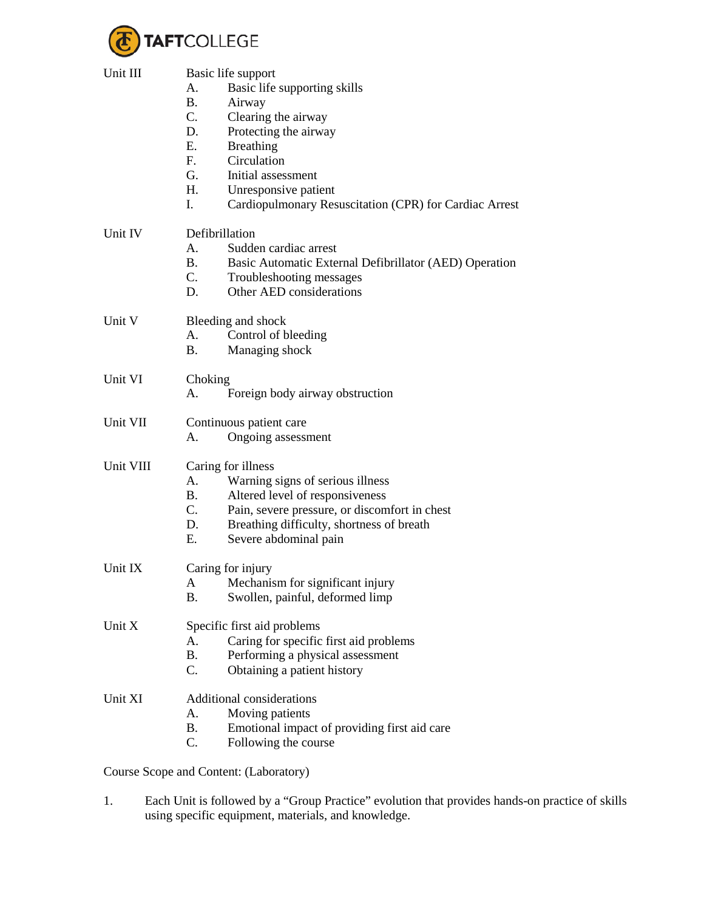

| Unit III  | Basic life support                                                  |  |
|-----------|---------------------------------------------------------------------|--|
|           | A.<br>Basic life supporting skills                                  |  |
|           | Airway<br><b>B.</b>                                                 |  |
|           | $C_{\cdot}$<br>Clearing the airway                                  |  |
|           | Protecting the airway<br>D.                                         |  |
|           |                                                                     |  |
|           | E.<br><b>Breathing</b>                                              |  |
|           | Circulation<br>F.                                                   |  |
|           | G.<br>Initial assessment                                            |  |
|           | H.<br>Unresponsive patient                                          |  |
|           | I.<br>Cardiopulmonary Resuscitation (CPR) for Cardiac Arrest        |  |
| Unit IV   | Defibrillation                                                      |  |
|           | Sudden cardiac arrest<br>А.                                         |  |
|           | <b>B.</b><br>Basic Automatic External Defibrillator (AED) Operation |  |
|           | $C_{\cdot}$<br>Troubleshooting messages                             |  |
|           | Other AED considerations<br>D.                                      |  |
| Unit V    | Bleeding and shock                                                  |  |
|           | А.                                                                  |  |
|           | Control of bleeding                                                 |  |
|           | Managing shock<br>Β.                                                |  |
| Unit VI   | Choking                                                             |  |
|           | Foreign body airway obstruction<br>А.                               |  |
| Unit VII  | Continuous patient care                                             |  |
|           | А.<br>Ongoing assessment                                            |  |
| Unit VIII | Caring for illness                                                  |  |
|           | Warning signs of serious illness<br>А.                              |  |
|           | Altered level of responsiveness<br>В.                               |  |
|           | $C_{\cdot}$                                                         |  |
|           | Pain, severe pressure, or discomfort in chest                       |  |
|           | Breathing difficulty, shortness of breath<br>D.                     |  |
|           | Е.<br>Severe abdominal pain                                         |  |
| Unit IX   | Caring for injury                                                   |  |
|           | A Mechanism for significant injury                                  |  |
|           | Β.<br>Swollen, painful, deformed limp                               |  |
| Unit X    | Specific first aid problems                                         |  |
|           | Caring for specific first aid problems<br>Α.                        |  |
|           | Performing a physical assessment<br>Β.                              |  |
|           | C.<br>Obtaining a patient history                                   |  |
|           |                                                                     |  |
| Unit XI   | Additional considerations                                           |  |
|           | Moving patients<br>А.                                               |  |
|           | <b>B.</b><br>Emotional impact of providing first aid care           |  |
|           | C.<br>Following the course                                          |  |
|           | Course Scope and Content: (Laboratory)                              |  |

1. Each Unit is followed by a "Group Practice" evolution that provides hands-on practice of skills using specific equipment, materials, and knowledge.